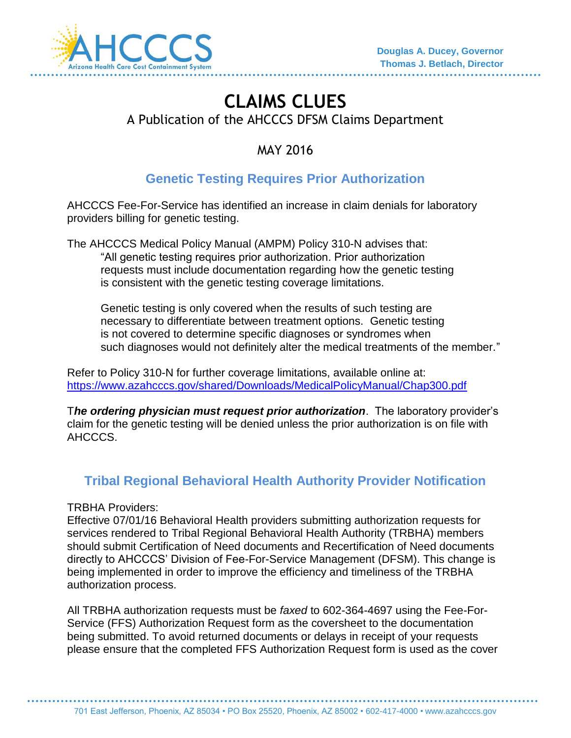

# **CLAIMS CLUES**  A Publication of the AHCCCS DFSM Claims Department

MAY 2016

## **Genetic Testing Requires Prior Authorization**

AHCCCS Fee-For-Service has identified an increase in claim denials for laboratory providers billing for genetic testing.

The AHCCCS Medical Policy Manual (AMPM) Policy 310-N advises that: "All genetic testing requires prior authorization. Prior authorization requests must include documentation regarding how the genetic testing is consistent with the genetic testing coverage limitations.

Genetic testing is only covered when the results of such testing are necessary to differentiate between treatment options. Genetic testing is not covered to determine specific diagnoses or syndromes when such diagnoses would not definitely alter the medical treatments of the member."

Refer to Policy 310-N for further coverage limitations, available online at: <https://www.azahcccs.gov/shared/Downloads/MedicalPolicyManual/Chap300.pdf>

T*he ordering physician must request prior authorization*. The laboratory provider's claim for the genetic testing will be denied unless the prior authorization is on file with AHCCCS.

### **Tribal Regional Behavioral Health Authority Provider Notification**

#### TRBHA Providers:

Effective 07/01/16 Behavioral Health providers submitting authorization requests for services rendered to Tribal Regional Behavioral Health Authority (TRBHA) members should submit Certification of Need documents and Recertification of Need documents directly to AHCCCS' Division of Fee-For-Service Management (DFSM). This change is being implemented in order to improve the efficiency and timeliness of the TRBHA authorization process.

All TRBHA authorization requests must be *faxed* to 602-364-4697 using the Fee-For-Service (FFS) Authorization Request form as the coversheet to the documentation being submitted. To avoid returned documents or delays in receipt of your requests please ensure that the completed FFS Authorization Request form is used as the cover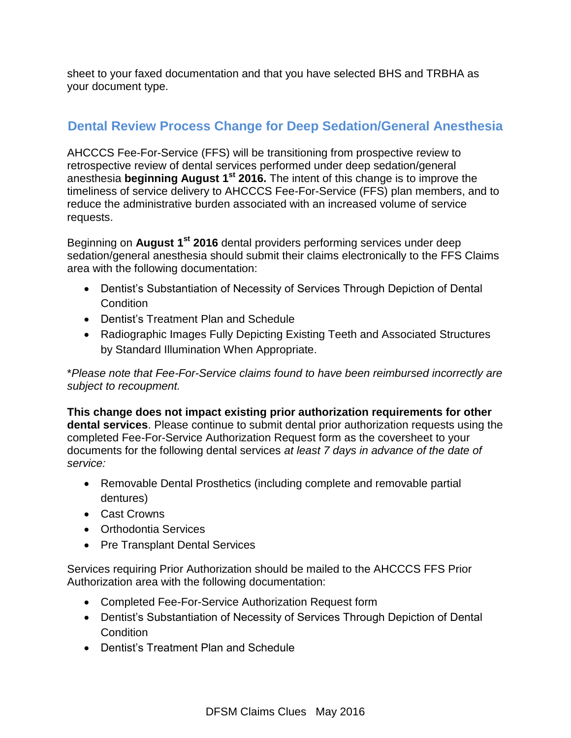sheet to your faxed documentation and that you have selected BHS and TRBHA as your document type.

### **Dental Review Process Change for Deep Sedation/General Anesthesia**

AHCCCS Fee-For-Service (FFS) will be transitioning from prospective review to retrospective review of dental services performed under deep sedation/general anesthesia **beginning August 1st 2016.** The intent of this change is to improve the timeliness of service delivery to AHCCCS Fee-For-Service (FFS) plan members, and to reduce the administrative burden associated with an increased volume of service requests.

Beginning on **August 1st 2016** dental providers performing services under deep sedation/general anesthesia should submit their claims electronically to the FFS Claims area with the following documentation:

- Dentist's Substantiation of Necessity of Services Through Depiction of Dental **Condition**
- Dentist's Treatment Plan and Schedule
- Radiographic Images Fully Depicting Existing Teeth and Associated Structures by Standard Illumination When Appropriate.

\**Please note that Fee-For-Service claims found to have been reimbursed incorrectly are subject to recoupment.* 

**This change does not impact existing prior authorization requirements for other dental services**. Please continue to submit dental prior authorization requests using the completed Fee-For-Service Authorization Request form as the coversheet to your documents for the following dental services *at least 7 days in advance of the date of service:*

- Removable Dental Prosthetics (including complete and removable partial dentures)
- Cast Crowns
- Orthodontia Services
- Pre Transplant Dental Services

Services requiring Prior Authorization should be mailed to the AHCCCS FFS Prior Authorization area with the following documentation:

- Completed Fee-For-Service Authorization Request form
- Dentist's Substantiation of Necessity of Services Through Depiction of Dental **Condition**
- Dentist's Treatment Plan and Schedule